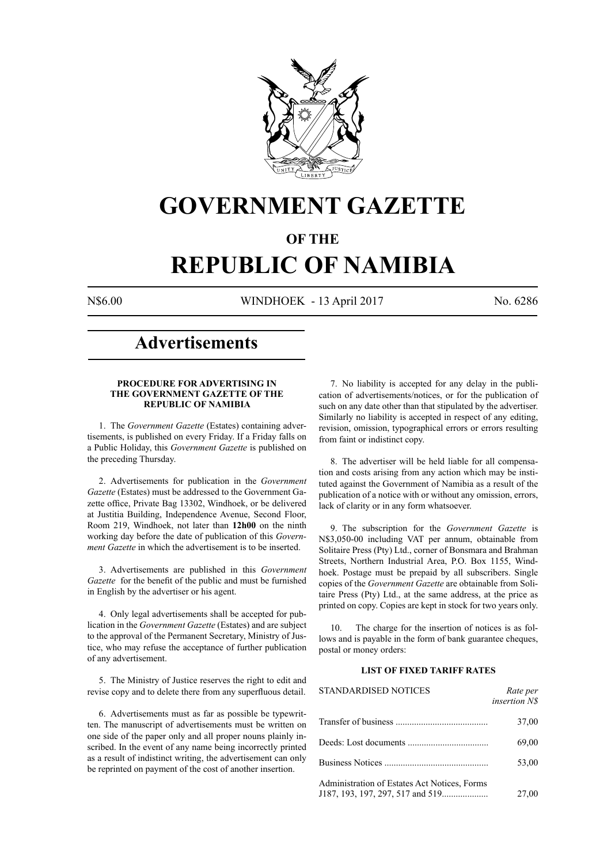

# **GOVERNMENT GAZETTE**

# **OF THE**

# **REPUBLIC OF NAMIBIA**

N\$6.00 WINDHOEK - 13 April 2017 No. 6286

# **Advertisements**

### **PROCEDURE FOR ADVERTISING IN THE GOVERNMENT GAZETTE OF THE REPUBLIC OF NAMIBIA**

1. The *Government Gazette* (Estates) containing advertisements, is published on every Friday. If a Friday falls on a Public Holiday, this *Government Gazette* is published on the preceding Thursday.

2. Advertisements for publication in the *Government Gazette* (Estates) must be addressed to the Government Gazette office, Private Bag 13302, Windhoek, or be delivered at Justitia Building, Independence Avenue, Second Floor, Room 219, Windhoek, not later than **12h00** on the ninth working day before the date of publication of this *Government Gazette* in which the advertisement is to be inserted.

3. Advertisements are published in this *Government Gazette* for the benefit of the public and must be furnished in English by the advertiser or his agent.

4. Only legal advertisements shall be accepted for publication in the *Government Gazette* (Estates) and are subject to the approval of the Permanent Secretary, Ministry of Justice, who may refuse the acceptance of further publication of any advertisement.

5. The Ministry of Justice reserves the right to edit and revise copy and to delete there from any superfluous detail.

6. Advertisements must as far as possible be typewritten. The manuscript of advertisements must be written on one side of the paper only and all proper nouns plainly inscribed. In the event of any name being incorrectly printed as a result of indistinct writing, the advertisement can only be reprinted on payment of the cost of another insertion.

7. No liability is accepted for any delay in the publication of advertisements/notices, or for the publication of such on any date other than that stipulated by the advertiser. Similarly no liability is accepted in respect of any editing, revision, omission, typographical errors or errors resulting from faint or indistinct copy.

8. The advertiser will be held liable for all compensation and costs arising from any action which may be instituted against the Government of Namibia as a result of the publication of a notice with or without any omission, errors, lack of clarity or in any form whatsoever.

9. The subscription for the *Government Gazette* is N\$3,050-00 including VAT per annum, obtainable from Solitaire Press (Pty) Ltd., corner of Bonsmara and Brahman Streets, Northern Industrial Area, P.O. Box 1155, Windhoek. Postage must be prepaid by all subscribers. Single copies of the *Government Gazette* are obtainable from Solitaire Press (Pty) Ltd., at the same address, at the price as printed on copy. Copies are kept in stock for two years only.

10. The charge for the insertion of notices is as follows and is payable in the form of bank guarantee cheques, postal or money orders:

# **LIST OF FIXED TARIFF RATES**

| <b>STANDARDISED NOTICES</b>                  | Rate per<br><i>insertion NS</i> |
|----------------------------------------------|---------------------------------|
|                                              | 37,00                           |
|                                              | 69,00                           |
|                                              | 53,00                           |
| Administration of Estates Act Notices, Forms | 27,00                           |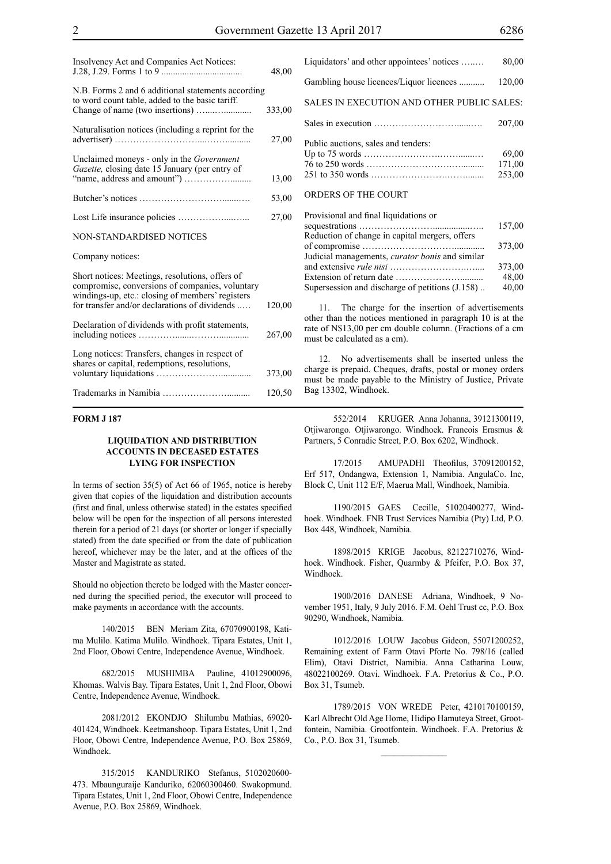| Insolvency Act and Companies Act Notices:                                                                                                                                                               | 48,00  |
|---------------------------------------------------------------------------------------------------------------------------------------------------------------------------------------------------------|--------|
| N.B. Forms 2 and 6 additional statements according<br>to word count table, added to the basic tariff.                                                                                                   | 333,00 |
|                                                                                                                                                                                                         |        |
| Naturalisation notices (including a reprint for the                                                                                                                                                     | 27,00  |
| Unclaimed moneys - only in the Government<br>Gazette, closing date 15 January (per entry of                                                                                                             |        |
|                                                                                                                                                                                                         | 13,00  |
|                                                                                                                                                                                                         | 53,00  |
|                                                                                                                                                                                                         | 27,00  |
| NON-STANDARDISED NOTICES                                                                                                                                                                                |        |
| Company notices:                                                                                                                                                                                        |        |
| Short notices: Meetings, resolutions, offers of<br>compromise, conversions of companies, voluntary<br>windings-up, etc.: closing of members' registers<br>for transfer and/or declarations of dividends | 120,00 |
|                                                                                                                                                                                                         |        |
| Declaration of dividends with profit statements,                                                                                                                                                        | 267,00 |
| Long notices: Transfers, changes in respect of<br>shares or capital, redemptions, resolutions,                                                                                                          |        |
|                                                                                                                                                                                                         | 373,00 |
|                                                                                                                                                                                                         | 120,50 |

# **FORM J 187**

#### **LIQUIDATION AND DISTRIBUTION ACCOUNTS IN DECEASED ESTATES LYING FOR INSPECTION**

In terms of section 35(5) of Act 66 of 1965, notice is hereby given that copies of the liquidation and distribution accounts (first and final, unless otherwise stated) in the estates specified below will be open for the inspection of all persons interested therein for a period of 21 days (or shorter or longer if specially stated) from the date specified or from the date of publication hereof, whichever may be the later, and at the offices of the Master and Magistrate as stated.

Should no objection thereto be lodged with the Master concerned during the specified period, the executor will proceed to make payments in accordance with the accounts.

140/2015 BEN Meriam Zita, 67070900198, Katima Mulilo. Katima Mulilo. Windhoek. Tipara Estates, Unit 1, 2nd Floor, Obowi Centre, Independence Avenue, Windhoek.

682/2015 MUSHIMBA Pauline, 41012900096, Khomas. Walvis Bay. Tipara Estates, Unit 1, 2nd Floor, Obowi Centre, Independence Avenue, Windhoek.

2081/2012 EKONDJO Shilumbu Mathias, 69020- 401424, Windhoek. Keetmanshoop. Tipara Estates, Unit 1, 2nd Floor, Obowi Centre, Independence Avenue, P.O. Box 25869, Windhoek.

315/2015 KANDURIKO Stefanus, 5102020600- 473. Mbaunguraije Kanduriko, 62060300460. Swakopmund. Tipara Estates, Unit 1, 2nd Floor, Obowi Centre, Independence Avenue, P.O. Box 25869, Windhoek.

| Liquidators' and other appointees' notices | 80,00                     |
|--------------------------------------------|---------------------------|
| Gambling house licences/Liquor licences    | 120,00                    |
| SALES IN EXECUTION AND OTHER PUBLIC SALES: |                           |
|                                            | 207.00                    |
| Public auctions, sales and tenders:        | 69.00<br>171,00<br>253,00 |
| ORDERS OF THE COURT                        |                           |
| Dravisional and final liquidations or      |                           |

| FTOVISIONAL AND HIMAL HYDRODUS OF                      |        |
|--------------------------------------------------------|--------|
|                                                        | 157.00 |
| Reduction of change in capital mergers, offers         |        |
|                                                        | 373.00 |
| Judicial managements, <i>curator bonis</i> and similar |        |
|                                                        | 373,00 |
|                                                        | 48,00  |
| Supersession and discharge of petitions (J.158)        | 40,00  |
|                                                        |        |

11. The charge for the insertion of advertisements other than the notices mentioned in paragraph 10 is at the rate of N\$13,00 per cm double column. (Fractions of a cm must be calculated as a cm).

12. No advertisements shall be inserted unless the charge is prepaid. Cheques, drafts, postal or money orders must be made payable to the Ministry of Justice, Private Bag 13302, Windhoek.

552/2014 KRUGER Anna Johanna, 39121300119, Otjiwarongo. Otjiwarongo. Windhoek. Francois Erasmus & Partners, 5 Conradie Street, P.O. Box 6202, Windhoek.

17/2015 AMUPADHI Theofilus, 37091200152, Erf 517, Ondangwa, Extension 1, Namibia. AngulaCo. Inc, Block C, Unit 112 E/F, Maerua Mall, Windhoek, Namibia.

1190/2015 GAES Cecille, 51020400277, Windhoek. Windhoek. FNB Trust Services Namibia (Pty) Ltd, P.O. Box 448, Windhoek, Namibia.

1898/2015 KRIGE Jacobus, 82122710276, Windhoek. Windhoek. Fisher, Quarmby & Pfeifer, P.O. Box 37, Windhoek.

1900/2016 DANESE Adriana, Windhoek, 9 November 1951, Italy, 9 July 2016. F.M. Oehl Trust cc, P.O. Box 90290, Windhoek, Namibia.

1012/2016 LOUW Jacobus Gideon, 55071200252, Remaining extent of Farm Otavi Pforte No. 798/16 (called Elim), Otavi District, Namibia. Anna Catharina Louw, 48022100269. Otavi. Windhoek. F.A. Pretorius & Co., P.O. Box 31, Tsumeb.

1789/2015 VON WREDE Peter, 4210170100159, Karl Albrecht Old Age Home, Hidipo Hamuteya Street, Grootfontein, Namibia. Grootfontein. Windhoek. F.A. Pretorius & Co., P.O. Box 31, Tsumeb.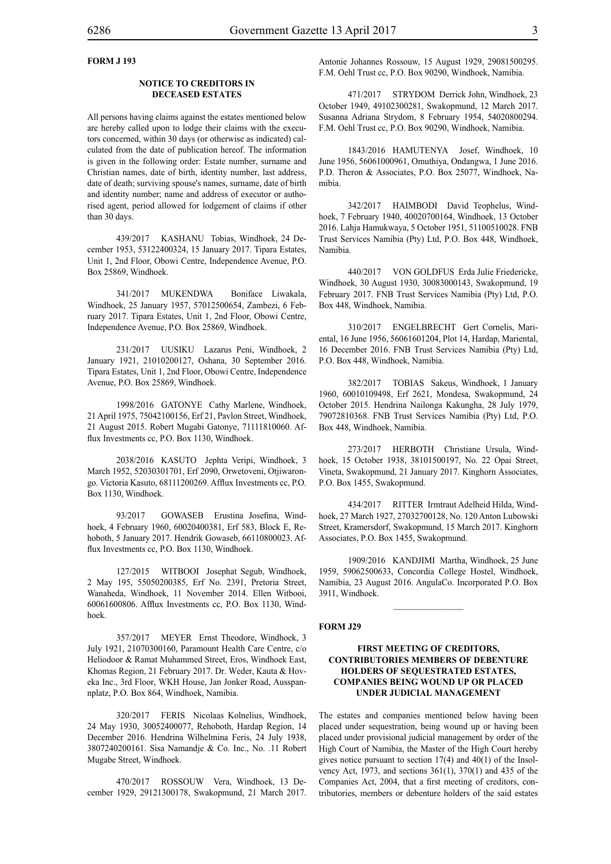# **FORM J 193**

#### **NOTICE TO CREDITORS IN DECEASED ESTATES**

All persons having claims against the estates mentioned below are hereby called upon to lodge their claims with the executors concerned, within 30 days (or otherwise as indicated) calculated from the date of publication hereof. The information is given in the following order: Estate number, surname and Christian names, date of birth, identity number, last address, date of death; surviving spouse's names, surname, date of birth and identity number; name and address of executor or authorised agent, period allowed for lodgement of claims if other than 30 days.

439/2017 KASHANU Tobias, Windhoek, 24 December 1953, 53122400324, 15 January 2017. Tipara Estates, Unit 1, 2nd Floor, Obowi Centre, Independence Avenue, P.O. Box 25869, Windhoek.

341/2017 MUKENDWA Boniface Liwakala, Windhoek, 25 January 1957, 57012500654, Zambezi, 6 February 2017. Tipara Estates, Unit 1, 2nd Floor, Obowi Centre, Independence Avenue, P.O. Box 25869, Windhoek.

231/2017 UUSIKU Lazarus Peni, Windhoek, 2 January 1921, 21010200127, Oshana, 30 September 2016. Tipara Estates, Unit 1, 2nd Floor, Obowi Centre, Independence Avenue, P.O. Box 25869, Windhoek.

1998/2016 GATONYE Cathy Marlene, Windhoek, 21 April 1975, 75042100156, Erf 21, Pavlon Street, Windhoek, 21 August 2015. Robert Mugabi Gatonye, 71111810060. Afflux Investments cc, P.O. Box 1130, Windhoek.

2038/2016 KASUTO Jephta Veripi, Windhoek, 3 March 1952, 52030301701, Erf 2090, Orwetoveni, Otjiwarongo. Victoria Kasuto, 68111200269. Afflux Investments cc, P.O. Box 1130, Windhoek.

93/2017 GOWASEB Erustina Josefina, Windhoek, 4 February 1960, 60020400381, Erf 583, Block E, Rehoboth, 5 January 2017. Hendrik Gowaseb, 66110800023. Afflux Investments cc, P.O. Box 1130, Windhoek.

127/2015 WITBOOI Josephat Segub, Windhoek, 2 May 195, 55050200385, Erf No. 2391, Pretoria Street, Wanaheda, Windhoek, 11 November 2014. Ellen Witbooi, 60061600806. Afflux Investments cc, P.O. Box 1130, Windhoek.

357/2017 MEYER Ernst Theodore, Windhoek, 3 July 1921, 21070300160, Paramount Health Care Centre, c/o Heliodoor & Ramat Muhammed Street, Eros, Windhoek East, Khomas Region, 21 February 2017. Dr. Weder, Kauta & Hoveka Inc., 3rd Floor, WKH House, Jan Jonker Road, Ausspannplatz, P.O. Box 864, Windhoek, Namibia.

320/2017 FERIS Nicolaas Kolnelius, Windhoek, 24 May 1930, 30052400077, Rehoboth, Hardap Region, 14 December 2016. Hendrina Wilhelmina Feris, 24 July 1938, 3807240200161. Sisa Namandje & Co. Inc., No. .11 Robert Mugabe Street, Windhoek.

470/2017 ROSSOUW Vera, Windhoek, 13 December 1929, 29121300178, Swakopmund, 21 March 2017. Antonie Johannes Rossouw, 15 August 1929, 29081500295. F.M. Oehl Trust cc, P.O. Box 90290, Windhoek, Namibia.

471/2017 STRYDOM Derrick John, Windhoek, 23 October 1949, 49102300281, Swakopmund, 12 March 2017. Susanna Adriana Strydom, 8 February 1954, 54020800294. F.M. Oehl Trust cc, P.O. Box 90290, Windhoek, Namibia.

1843/2016 HAMUTENYA Josef, Windhoek, 10 June 1956, 56061000961, Omuthiya, Ondangwa, 1 June 2016. P.D. Theron & Associates, P.O. Box 25077, Windhoek, Namibia.

342/2017 HAIMBODI David Teophelus, Windhoek, 7 February 1940, 40020700164, Windhoek, 13 October 2016. Lahja Hamukwaya, 5 October 1951, 51100510028. FNB Trust Services Namibia (Pty) Ltd, P.O. Box 448, Windhoek, Namibia.

440/2017 VON GOLDFUS Erda Julie Friedericke, Windhoek, 30 August 1930, 30083000143, Swakopmund, 19 February 2017. FNB Trust Services Namibia (Pty) Ltd, P.O. Box 448, Windhoek, Namibia.

310/2017 ENGELBRECHT Gert Cornelis, Mariental, 16 June 1956, 56061601204, Plot 14, Hardap, Mariental, 16 December 2016. FNB Trust Services Namibia (Pty) Ltd, P.O. Box 448, Windhoek, Namibia.

382/2017 TOBIAS Sakeus, Windhoek, 1 January 1960, 60010109498, Erf 2621, Mondesa, Swakopmund, 24 October 2015. Hendrina Nailonga Kakungha, 28 July 1979, 79072810368. FNB Trust Services Namibia (Pty) Ltd, P.O. Box 448, Windhoek, Namibia.

273/2017 HERBOTH Christiane Ursula, Windhoek, 15 October 1938, 38101500197, No. 22 Opai Street, Vineta, Swakopmund, 21 January 2017. Kinghorn Associates, P.O. Box 1455, Swakopmund.

434/2017 RITTER Irmtraut Adelheid Hilda, Windhoek, 27 March 1927, 27032700128, No. 120 Anton Lubowski Street, Kramersdorf, Swakopmund, 15 March 2017. Kinghorn Associates, P.O. Box 1455, Swakopmund.

1909/2016 KANDJIMI Martha, Windhoek, 25 June 1959, 59062500633, Concordia College Hostel, Windhoek, Namibia, 23 August 2016. AngulaCo. Incorporated P.O. Box 3911, Windhoek.

 $\frac{1}{2}$ 

#### **FORM J29**

# **FIRST MEETING OF CREDITORS, CONTRIBUTORIES MEMBERS OF DEBENTURE HOLDERS OF SEQUESTRATED ESTATES, COMPANIES BEING WOUND UP OR PLACED UNDER JUDICIAL MANAGEMENT**

The estates and companies mentioned below having been placed under sequestration, being wound up or having been placed under provisional judicial management by order of the High Court of Namibia, the Master of the High Court hereby gives notice pursuant to section 17(4) and 40(1) of the Insolvency Act, 1973, and sections 361(1), 370(1) and 435 of the Companies Act, 2004, that a first meeting of creditors, contributories, members or debenture holders of the said estates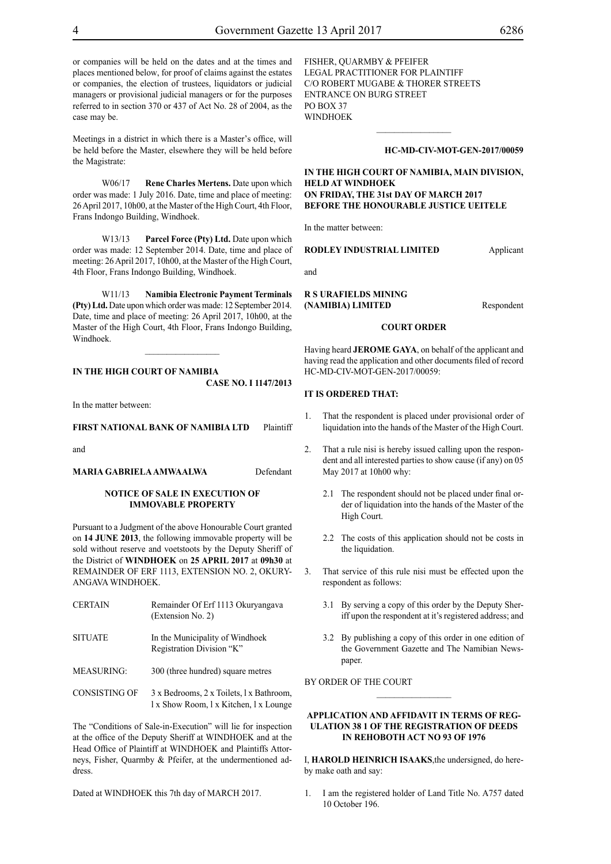or companies will be held on the dates and at the times and places mentioned below, for proof of claims against the estates or companies, the election of trustees, liquidators or judicial managers or provisional judicial managers or for the purposes referred to in section 370 or 437 of Act No. 28 of 2004, as the case may be.

Meetings in a district in which there is a Master's office, will be held before the Master, elsewhere they will be held before the Magistrate:

W06/17 **Rene Charles Mertens.** Date upon which order was made: 1 July 2016. Date, time and place of meeting: 26 April 2017, 10h00, at the Master of the High Court, 4th Floor, Frans Indongo Building, Windhoek.

W13/13 **Parcel Force (Pty) Ltd.** Date upon which order was made: 12 September 2014. Date, time and place of meeting: 26 April 2017, 10h00, at the Master of the High Court, 4th Floor, Frans Indongo Building, Windhoek.

W11/13 **Namibia Electronic Payment Terminals (Pty) Ltd.** Date upon which order was made: 12 September 2014. Date, time and place of meeting: 26 April 2017, 10h00, at the Master of the High Court, 4th Floor, Frans Indongo Building, Windhoek.

# **IN THE HIGH COURT OF NAMIBIA CASE No. I 1147/2013**

In the matter between:

#### **FIRST NATIONAL BANK OF NAMIBIA LTD** Plaintiff

and

#### **MARIA GABRIELA AMWAALWA** Defendant

#### **NOTICE OF SALE IN EXECUTION OF IMMOVABLE PROPERTY**

Pursuant to a Judgment of the above Honourable Court granted on **14 JUNE 2013**, the following immovable property will be sold without reserve and voetstoots by the Deputy Sheriff of the District of **WINDHOEK** on **25 APRIL 2017** at **09h30** at REMAINDER OF ERF 1113, EXTENSION NO. 2, OKURY-ANGAVA WINDHOEK.

| <b>CERTAIN</b>       | Remainder Of Erf 1113 Okuryangaya<br>(Extension No. 2)                             |
|----------------------|------------------------------------------------------------------------------------|
| <b>SITUATE</b>       | In the Municipality of Windhoek<br>Registration Division "K"                       |
| <b>MEASURING:</b>    | 300 (three hundred) square metres                                                  |
| <b>CONSISTING OF</b> | 3 x Bedrooms, 2 x Toilets, 1 x Bathroom,<br>1 x Show Room, 1 x Kitchen, 1 x Lounge |

The "Conditions of Sale-in-Execution" will lie for inspection at the office of the Deputy Sheriff at WINDHOEK and at the Head Office of Plaintiff at WINDHOEK and Plaintiffs Attorneys, Fisher, Quarmby & Pfeifer, at the undermentioned address.

Dated at WINDHOEK this 7th day of MARCH 2017.

FISHER, QUARMBY & PFEIFER LEGAL PRACTITIONER FOR PLAINTIFF c/o Robert Mugabe & Thorer Streets entrance on Burg Street PO BOX 37 WINDHOEK

#### **HC-MD-CIV-MOT-GEN-2017/00059**

# **IN THE HIGH COURT OF NAMIBIA, MAIN DIVISION, HELD AT WINDHOEK ON FRIDAY, THE 31st DAY OF MARCH 2017 BEFORE THE HONOURABLE JUSTICE UEITELE**

 $\frac{1}{2}$ 

In the matter between:

#### **RODLEY INDUSTRIAL LIMITED** Applicant

and

**R S URAFIELDS MINING (NAMIBIA) LIMITED** Respondent

#### **COURT ORDER**

Having heard **JEROME GAYA**, on behalf of the applicant and having read the application and other documents filed of record HC-MD-CIV-MOT-GEN-2017/00059:

#### **IT IS ORDERED THAT:**

- 1. That the respondent is placed under provisional order of liquidation into the hands of the Master of the High Court.
- That a rule nisi is hereby issued calling upon the respondent and all interested parties to show cause (if any) on 05 May 2017 at 10h00 why:
	- 2.1 The respondent should not be placed under final order of liquidation into the hands of the Master of the High Court.
	- 2.2 The costs of this application should not be costs in the liquidation.
- 3. That service of this rule nisi must be effected upon the respondent as follows:
	- 3.1 By serving a copy of this order by the Deputy Sheriff upon the respondent at it's registered address; and
	- 3.2 By publishing a copy of this order in one edition of the Government Gazette and The Namibian Newspaper.

BY ORDER OF THE COURT

# **APPLICATION AND AFFIDAVIT IN TERMS OF REG-ULATION 38 1 OF THE REGISTRATION OF DEEDS IN REHOBOTH ACT NO 93 OF 1976**

 $\frac{1}{2}$ 

I, **HAROLD HEINRICH ISAAKS**,the undersigned, do hereby make oath and say:

1. I am the registered holder of Land Title No. A757 dated 10 October 196.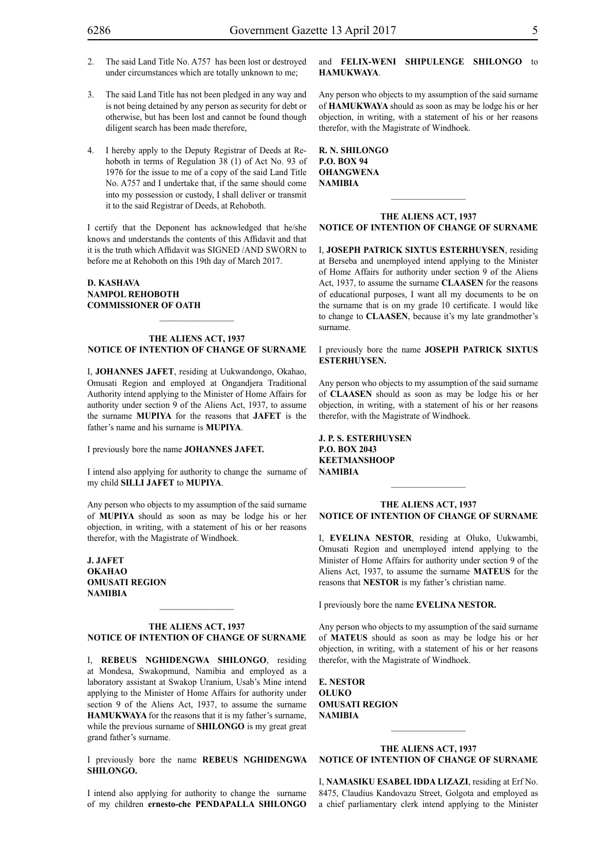- 2. The said Land Title No. A757 has been lost or destroyed under circumstances which are totally unknown to me;
- 3. The said Land Title has not been pledged in any way and is not being detained by any person as security for debt or otherwise, but has been lost and cannot be found though diligent search has been made therefore,
- 4. I hereby apply to the Deputy Registrar of Deeds at Rehoboth in terms of Regulation 38 (1) of Act No. 93 of 1976 for the issue to me of a copy of the said Land Title No. A757 and I undertake that, if the same should come into my possession or custody, I shall deliver or transmit it to the said Registrar of Deeds, at Rehoboth.

I certify that the Deponent has acknowledged that he/she knows and understands the contents of this Affidavit and that it is the truth which Affidavit was SIGNED /AND SWORN to before me at Rehoboth on this 19th day of March 2017.

# **D. KASHAVA NAMPOL REHOBOTH COMMISSIONER OF OATH**

#### **THE ALIENS ACT, 1937 NOTICE OF INTENTION OF CHANGE OF SURNAME**

 $\frac{1}{2}$ 

I, **Johannes Jafet**, residing at Uukwandongo, Okahao, Omusati Region and employed at Ongandjera Traditional Authority intend applying to the Minister of Home Affairs for authority under section 9 of the Aliens Act, 1937, to assume the surname **mupiya** for the reasons that **JAFET** is the father's name and his surname is **MUPIYA**.

I previously bore the name **Johannes Jafet.**

I intend also applying for authority to change the surname of my child **SILLI JAFET** to **MUPIYA**.

Any person who objects to my assumption of the said surname of **MUPIYA** should as soon as may be lodge his or her objection, in writing, with a statement of his or her reasons therefor, with the Magistrate of Windhoek.

**J. Jafet okahao omusati region namibia**

# **THE ALIENS ACT, 1937 NOTICE OF INTENTION OF CHANGE OF SURNAME**

 $\frac{1}{2}$ 

I, **rebeus nghidengwa shilongo**, residing at Mondesa, Swakopmund, Namibia and employed as a laboratory assistant at Swakop Uranium, Usab's Mine intend applying to the Minister of Home Affairs for authority under section 9 of the Aliens Act, 1937, to assume the surname **HAMUKWAYA** for the reasons that it is my father's surname, while the previous surname of **SHILONGO** is my great great grand father's surname.

I previously bore the name **REBEUS NGHIDENGWA shilongo.**

I intend also applying for authority to change the surname of my children **ernesto-che PENDAPALLA SHILONGO** 

# and **FELIX-WENI SHIPULENGE SHILONGO** to **hamukwaya**.

Any person who objects to my assumption of the said surname of **hamukwaya** should as soon as may be lodge his or her objection, in writing, with a statement of his or her reasons therefor, with the Magistrate of Windhoek.

**r. n. shilongo P.o. box 94 ohangwena namibia**

#### **THE ALIENS ACT, 1937 NOTICE OF INTENTION OF CHANGE OF SURNAME**

 $\frac{1}{2}$ 

I, **joseph patrick sixtus esterhuysen**, residing at Berseba and unemployed intend applying to the Minister of Home Affairs for authority under section 9 of the Aliens Act, 1937, to assume the surname **claasen** for the reasons of educational purposes, I want all my documents to be on the surname that is on my grade 10 certificate. I would like to change to **CLAASEN**, because it's my late grandmother's surname.

# I previously bore the name **joseph patrick sixtus esterhuysen.**

Any person who objects to my assumption of the said surname of **CLAASEN** should as soon as may be lodge his or her objection, in writing, with a statement of his or her reasons therefor, with the Magistrate of Windhoek.

**j. p. s. esterhuysen P.o. box 2043 keetmanshoop namibia**

# **THE ALIENS ACT, 1937 NOTICE OF INTENTION OF CHANGE OF SURNAME**

 $\frac{1}{2}$ 

I, **evelina nestor**, residing at Oluko, Uukwambi, Omusati Region and unemployed intend applying to the Minister of Home Affairs for authority under section 9 of the Aliens Act, 1937, to assume the surname **mateus** for the reasons that **NESTOR** is my father's christian name.

I previously bore the name **evelina nestor.**

Any person who objects to my assumption of the said surname of **mateus** should as soon as may be lodge his or her objection, in writing, with a statement of his or her reasons therefor, with the Magistrate of Windhoek.

**e. nestor oluko omusati region namibia**

# **THE ALIENS ACT, 1937 NOTICE OF INTENTION OF CHANGE OF SURNAME**

 $\frac{1}{2}$ 

I, **namasiku esabel idda lizazi**, residing at Erf No. 8475, Claudius Kandovazu Street, Golgota and employed as a chief parliamentary clerk intend applying to the Minister